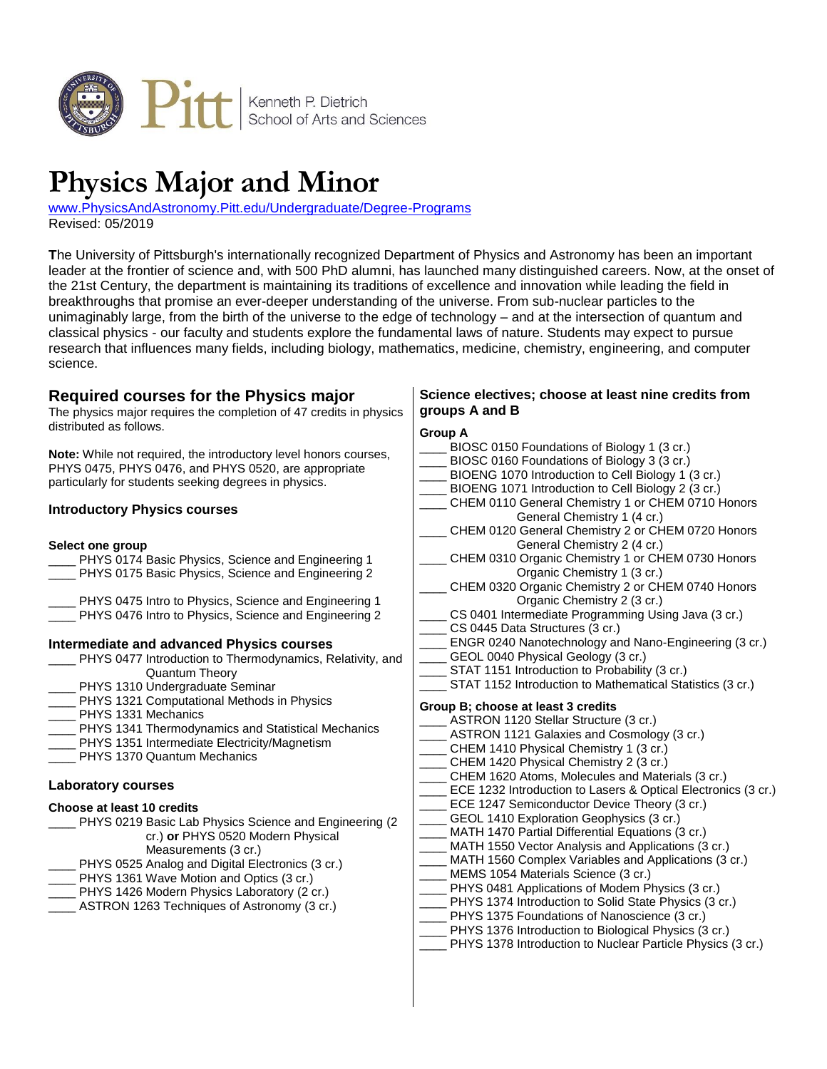

# **Physics Major and Minor**

[www.PhysicsAndAstronomy.Pitt.edu/Undergraduate/Degree-Programs](http://www.physicsandastronomy.pitt.edu/undergraduate/degree-programs) Revised: 05/2019

**T**he University of Pittsburgh's internationally recognized Department of Physics and Astronomy has been an important leader at the frontier of science and, with 500 PhD alumni, has launched many distinguished careers. Now, at the onset of the 21st Century, the department is maintaining its traditions of excellence and innovation while leading the field in breakthroughs that promise an ever-deeper understanding of the universe. From sub-nuclear particles to the unimaginably large, from the birth of the universe to the edge of technology – and at the intersection of quantum and classical physics - our faculty and students explore the fundamental laws of nature. Students may expect to pursue research that influences many fields, including biology, mathematics, medicine, chemistry, engineering, and computer science.

#### **Required courses for the Physics major** The physics major requires the completion of 47 credits in physics distributed as follows. **Note:** While not required, the introductory level honors courses, PHYS 0475, PHYS 0476, and PHYS 0520, are appropriate particularly for students seeking degrees in physics. **Introductory Physics courses Select one group** PHYS 0174 Basic Physics, Science and Engineering 1 PHYS 0175 Basic Physics, Science and Engineering 2 PHYS 0475 Intro to Physics, Science and Engineering 1 PHYS 0476 Intro to Physics, Science and Engineering 2 **Intermediate and advanced Physics courses** \_\_\_\_ PHYS 0477 Introduction to Thermodynamics, Relativity, and Quantum Theory PHYS 1310 Undergraduate Seminar PHYS 1321 Computational Methods in Physics PHYS 1331 Mechanics PHYS 1341 Thermodynamics and Statistical Mechanics PHYS 1351 Intermediate Electricity/Magnetism PHYS 1370 Quantum Mechanics **Laboratory courses Choose at least 10 credits** PHYS 0219 Basic Lab Physics Science and Engineering (2) cr.) **or** PHYS 0520 Modern Physical Measurements (3 cr.) PHYS 0525 Analog and Digital Electronics (3 cr.) PHYS 1361 Wave Motion and Optics (3 cr.) PHYS 1426 Modern Physics Laboratory (2 cr.) ASTRON 1263 Techniques of Astronomy (3 cr.) **Science electives; choose at least nine credits from groups A and B Group A** BIOSC 0150 Foundations of Biology 1 (3 cr.) BIOSC 0160 Foundations of Biology 3 (3 cr.) BIOENG 1070 Introduction to Cell Biology 1 (3 cr.) BIOENG 1071 Introduction to Cell Biology 2 (3 cr.) CHEM 0110 General Chemistry 1 or CHEM 0710 Honors General Chemistry 1 (4 cr.) CHEM 0120 General Chemistry 2 or CHEM 0720 Honors General Chemistry 2 (4 cr.) CHEM 0310 Organic Chemistry 1 or CHEM 0730 Honors Organic Chemistry 1 (3 cr.) CHEM 0320 Organic Chemistry 2 or CHEM 0740 Honors Organic Chemistry 2 (3 cr.) CS 0401 Intermediate Programming Using Java (3 cr.) CS 0445 Data Structures (3 cr.) ENGR 0240 Nanotechnology and Nano-Engineering (3 cr.) GEOL 0040 Physical Geology (3 cr.) STAT 1151 Introduction to Probability (3 cr.) STAT 1152 Introduction to Mathematical Statistics (3 cr.) **Group B; choose at least 3 credits** ASTRON 1120 Stellar Structure (3 cr.) ASTRON 1121 Galaxies and Cosmology (3 cr.) CHEM 1410 Physical Chemistry 1 (3 cr.) CHEM 1420 Physical Chemistry 2 (3 cr.) CHEM 1620 Atoms, Molecules and Materials (3 cr.) ECE 1232 Introduction to Lasers & Optical Electronics (3 cr.) ECE 1247 Semiconductor Device Theory (3 cr.) GEOL 1410 Exploration Geophysics (3 cr.) MATH 1470 Partial Differential Equations (3 cr.) MATH 1550 Vector Analysis and Applications (3 cr.) MATH 1560 Complex Variables and Applications (3 cr.) MEMS 1054 Materials Science (3 cr.) PHYS 0481 Applications of Modem Physics (3 cr.) PHYS 1374 Introduction to Solid State Physics (3 cr.) PHYS 1375 Foundations of Nanoscience (3 cr.) PHYS 1376 Introduction to Biological Physics (3 cr.) PHYS 1378 Introduction to Nuclear Particle Physics (3 cr.)